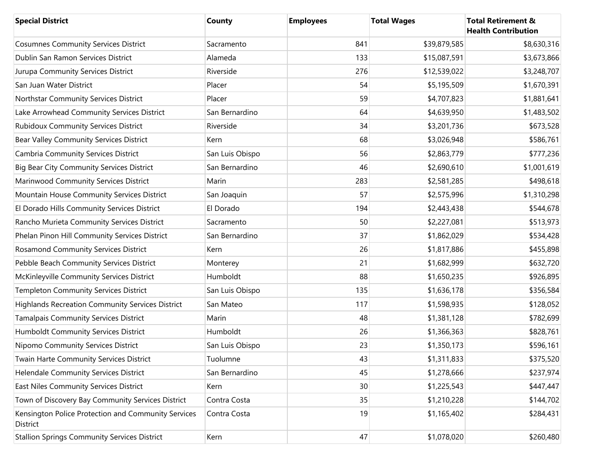| <b>Special District</b>                                         | County          | <b>Employees</b> | <b>Total Wages</b> | <b>Total Retirement &amp;</b><br><b>Health Contribution</b> |
|-----------------------------------------------------------------|-----------------|------------------|--------------------|-------------------------------------------------------------|
| <b>Cosumnes Community Services District</b>                     | Sacramento      | 841              | \$39,879,585       | \$8,630,316                                                 |
| Dublin San Ramon Services District                              | Alameda         | 133              | \$15,087,591       | \$3,673,866                                                 |
| Jurupa Community Services District                              | Riverside       | 276              | \$12,539,022       | \$3,248,707                                                 |
| San Juan Water District                                         | Placer          | 54               | \$5,195,509        | \$1,670,391                                                 |
| Northstar Community Services District                           | Placer          | 59               | \$4,707,823        | \$1,881,641                                                 |
| Lake Arrowhead Community Services District                      | San Bernardino  | 64               | \$4,639,950        | \$1,483,502                                                 |
| <b>Rubidoux Community Services District</b>                     | Riverside       | 34               | \$3,201,736        | \$673,528                                                   |
| Bear Valley Community Services District                         | Kern            | 68               | \$3,026,948        | \$586,761                                                   |
| Cambria Community Services District                             | San Luis Obispo | 56               | \$2,863,779        | \$777,236                                                   |
| <b>Big Bear City Community Services District</b>                | San Bernardino  | 46               | \$2,690,610        | \$1,001,619                                                 |
| Marinwood Community Services District                           | Marin           | 283              | \$2,581,285        | \$498,618                                                   |
| Mountain House Community Services District                      | San Joaquin     | 57               | \$2,575,996        | \$1,310,298                                                 |
| El Dorado Hills Community Services District                     | El Dorado       | 194              | \$2,443,438        | \$544,678                                                   |
| Rancho Murieta Community Services District                      | Sacramento      | 50               | \$2,227,081        | \$513,973                                                   |
| Phelan Pinon Hill Community Services District                   | San Bernardino  | 37               | \$1,862,029        | \$534,428                                                   |
| Rosamond Community Services District                            | Kern            | 26               | \$1,817,886        | \$455,898                                                   |
| Pebble Beach Community Services District                        | Monterey        | 21               | \$1,682,999        | \$632,720                                                   |
| McKinleyville Community Services District                       | Humboldt        | 88               | \$1,650,235        | \$926,895                                                   |
| Templeton Community Services District                           | San Luis Obispo | 135              | \$1,636,178        | \$356,584                                                   |
| <b>Highlands Recreation Community Services District</b>         | San Mateo       | 117              | \$1,598,935        | \$128,052                                                   |
| Tamalpais Community Services District                           | Marin           | 48               | \$1,381,128        | \$782,699                                                   |
| Humboldt Community Services District                            | Humboldt        | 26               | \$1,366,363        | \$828,761                                                   |
| Nipomo Community Services District                              | San Luis Obispo | 23               | \$1,350,173        | \$596,161                                                   |
| Twain Harte Community Services District                         | Tuolumne        | 43               | \$1,311,833        | \$375,520                                                   |
| Helendale Community Services District                           | San Bernardino  | 45               | \$1,278,666        | \$237,974                                                   |
| East Niles Community Services District                          | Kern            | 30               | \$1,225,543        | \$447,447                                                   |
| Town of Discovery Bay Community Services District               | Contra Costa    | 35               | \$1,210,228        | \$144,702                                                   |
| Kensington Police Protection and Community Services<br>District | Contra Costa    | 19               | \$1,165,402        | \$284,431                                                   |
| <b>Stallion Springs Community Services District</b>             | Kern            | 47               | \$1,078,020        | \$260,480                                                   |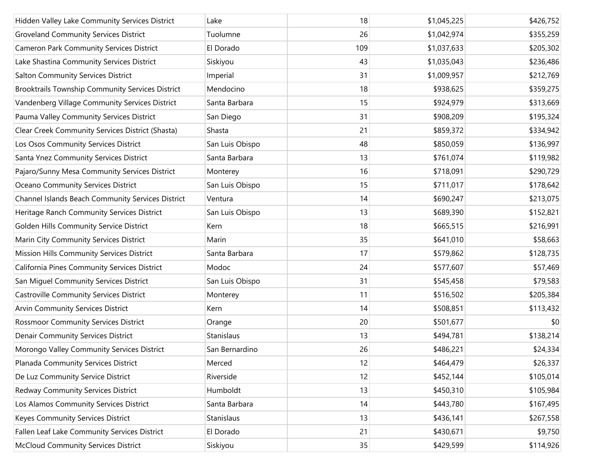| Hidden Valley Lake Community Services District    | Lake            | 18  | \$1,045,225 | \$426,752 |
|---------------------------------------------------|-----------------|-----|-------------|-----------|
| <b>Groveland Community Services District</b>      | Tuolumne        | 26  | \$1,042,974 | \$355,259 |
| <b>Cameron Park Community Services District</b>   | El Dorado       | 109 | \$1,037,633 | \$205,302 |
| Lake Shastina Community Services District         | Siskiyou        | 43  | \$1,035,043 | \$236,486 |
| <b>Salton Community Services District</b>         | Imperial        | 31  | \$1,009,957 | \$212,769 |
| Brooktrails Township Community Services District  | Mendocino       | 18  | \$938,625   | \$359,275 |
| Vandenberg Village Community Services District    | Santa Barbara   | 15  | \$924,979   | \$313,669 |
| Pauma Valley Community Services District          | San Diego       | 31  | \$908,209   | \$195,324 |
| Clear Creek Community Services District (Shasta)  | Shasta          | 21  | \$859,372   | \$334,942 |
| Los Osos Community Services District              | San Luis Obispo | 48  | \$850,059   | \$136,997 |
| Santa Ynez Community Services District            | Santa Barbara   | 13  | \$761,074   | \$119,982 |
| Pajaro/Sunny Mesa Community Services District     | Monterey        | 16  | \$718,091   | \$290,729 |
| Oceano Community Services District                | San Luis Obispo | 15  | \$711,017   | \$178,642 |
| Channel Islands Beach Community Services District | Ventura         | 14  | \$690,247   | \$213,075 |
| Heritage Ranch Community Services District        | San Luis Obispo | 13  | \$689,390   | \$152,821 |
| Golden Hills Community Service District           | Kern            | 18  | \$665,515   | \$216,991 |
| Marin City Community Services District            | Marin           | 35  | \$641,010   | \$58,663  |
| Mission Hills Community Services District         | Santa Barbara   | 17  | \$579,862   | \$128,735 |
| California Pines Community Services District      | Modoc           | 24  | \$577,607   | \$57,469  |
| San Miguel Community Services District            | San Luis Obispo | 31  | \$545,458   | \$79,583  |
| Castroville Community Services District           | Monterey        | 11  | \$516,502   | \$205,384 |
| <b>Arvin Community Services District</b>          | Kern            | 14  | \$508,851   | \$113,432 |
| <b>Rossmoor Community Services District</b>       | Orange          | 20  | \$501,677   | \$0       |
| <b>Denair Community Services District</b>         | Stanislaus      | 13  | \$494,781   | \$138,214 |
| Morongo Valley Community Services District        | San Bernardino  | 26  | \$486,221   | \$24,334  |
| Planada Community Services District               | Merced          | 12  | \$464,479   | \$26,337  |
| De Luz Community Service District                 | Riverside       | 12  | \$452,144   | \$105,014 |
| Redway Community Services District                | Humboldt        | 13  | \$450,310   | \$105,984 |
| Los Alamos Community Services District            | Santa Barbara   | 14  | \$443,780   | \$167,495 |
| <b>Keyes Community Services District</b>          | Stanislaus      | 13  | \$436,141   | \$267,558 |
| Fallen Leaf Lake Community Services District      | El Dorado       | 21  | \$430,671   | \$9,750   |
| <b>McCloud Community Services District</b>        | Siskiyou        | 35  | \$429,599   | \$114,926 |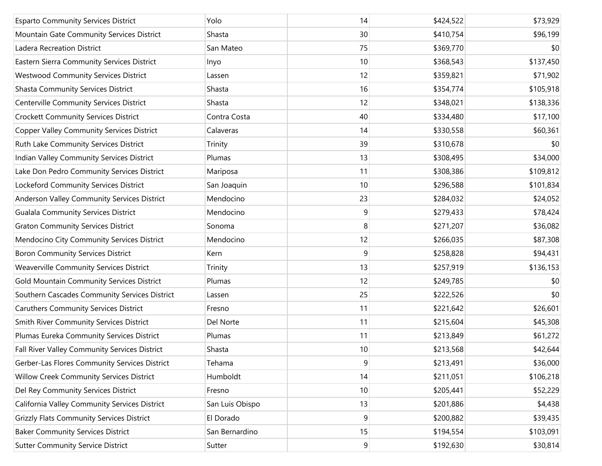| <b>Esparto Community Services District</b>       | Yolo            | 14             | \$424,522 | \$73,929  |
|--------------------------------------------------|-----------------|----------------|-----------|-----------|
| Mountain Gate Community Services District        | Shasta          | 30             | \$410,754 | \$96,199  |
| Ladera Recreation District                       | San Mateo       | 75             | \$369,770 | \$0       |
| Eastern Sierra Community Services District       | Inyo            | 10             | \$368,543 | \$137,450 |
| <b>Westwood Community Services District</b>      | Lassen          | 12             | \$359,821 | \$71,902  |
| <b>Shasta Community Services District</b>        | Shasta          | 16             | \$354,774 | \$105,918 |
| Centerville Community Services District          | Shasta          | 12             | \$348,021 | \$138,336 |
| <b>Crockett Community Services District</b>      | Contra Costa    | 40             | \$334,480 | \$17,100  |
| <b>Copper Valley Community Services District</b> | Calaveras       | 14             | \$330,558 | \$60,361  |
| Ruth Lake Community Services District            | Trinity         | 39             | \$310,678 | \$0       |
| Indian Valley Community Services District        | Plumas          | 13             | \$308,495 | \$34,000  |
| Lake Don Pedro Community Services District       | Mariposa        | 11             | \$308,386 | \$109,812 |
| Lockeford Community Services District            | San Joaquin     | 10             | \$296,588 | \$101,834 |
| Anderson Valley Community Services District      | Mendocino       | 23             | \$284,032 | \$24,052  |
| <b>Gualala Community Services District</b>       | Mendocino       | 9              | \$279,433 | \$78,424  |
| <b>Graton Community Services District</b>        | Sonoma          | 8              | \$271,207 | \$36,082  |
| Mendocino City Community Services District       | Mendocino       | 12             | \$266,035 | \$87,308  |
| <b>Boron Community Services District</b>         | Kern            | 9              | \$258,828 | \$94,431  |
| <b>Weaverville Community Services District</b>   | Trinity         | 13             | \$257,919 | \$136,153 |
| Gold Mountain Community Services District        | Plumas          | 12             | \$249,785 | \$0       |
| Southern Cascades Community Services District    | Lassen          | 25             | \$222,526 | \$0       |
| <b>Caruthers Community Services District</b>     | Fresno          | 11             | \$221,642 | \$26,601  |
| Smith River Community Services District          | Del Norte       | 11             | \$215,604 | \$45,308  |
| Plumas Eureka Community Services District        | Plumas          | 11             | \$213,849 | \$61,272  |
| Fall River Valley Community Services District    | Shasta          | 10             | \$213,568 | \$42,644  |
| Gerber-Las Flores Community Services District    | Tehama          | 9              | \$213,491 | \$36,000  |
| Willow Creek Community Services District         | Humboldt        | 14             | \$211,051 | \$106,218 |
| Del Rey Community Services District              | Fresno          | 10             | \$205,441 | \$52,229  |
| California Valley Community Services District    | San Luis Obispo | 13             | \$201,886 | \$4,438   |
| <b>Grizzly Flats Community Services District</b> | El Dorado       | 9              | \$200,882 | \$39,435  |
| <b>Baker Community Services District</b>         | San Bernardino  | 15             | \$194,554 | \$103,091 |
| <b>Sutter Community Service District</b>         | Sutter          | $\overline{9}$ | \$192,630 | \$30,814  |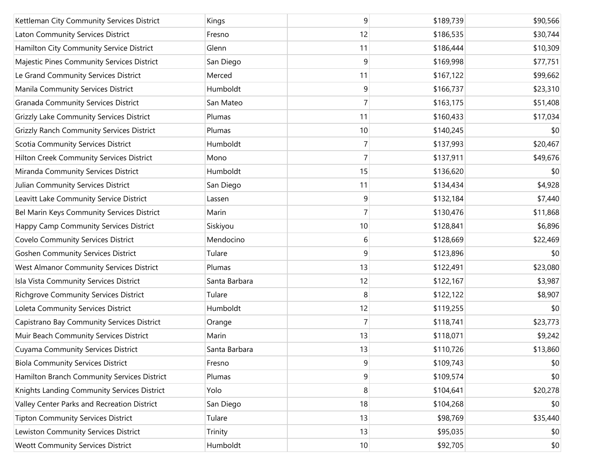| Kettleman City Community Services District       | Kings         | 9              | \$189,739 | \$90,566 |
|--------------------------------------------------|---------------|----------------|-----------|----------|
| Laton Community Services District                | Fresno        | 12             | \$186,535 | \$30,744 |
| Hamilton City Community Service District         | Glenn         | 11             | \$186,444 | \$10,309 |
| Majestic Pines Community Services District       | San Diego     | 9              | \$169,998 | \$77,751 |
| Le Grand Community Services District             | Merced        | 11             | \$167,122 | \$99,662 |
| Manila Community Services District               | Humboldt      | 9              | \$166,737 | \$23,310 |
| <b>Granada Community Services District</b>       | San Mateo     | 7              | \$163,175 | \$51,408 |
| Grizzly Lake Community Services District         | Plumas        | 11             | \$160,433 | \$17,034 |
| <b>Grizzly Ranch Community Services District</b> | Plumas        | 10             | \$140,245 | \$0      |
| Scotia Community Services District               | Humboldt      | 7              | \$137,993 | \$20,467 |
| Hilton Creek Community Services District         | Mono          | 7              | \$137,911 | \$49,676 |
| Miranda Community Services District              | Humboldt      | 15             | \$136,620 | \$0      |
| Julian Community Services District               | San Diego     | 11             | \$134,434 | \$4,928  |
| Leavitt Lake Community Service District          | Lassen        | 9              | \$132,184 | \$7,440  |
| Bel Marin Keys Community Services District       | Marin         | $\overline{7}$ | \$130,476 | \$11,868 |
| Happy Camp Community Services District           | Siskiyou      | 10             | \$128,841 | \$6,896  |
| <b>Covelo Community Services District</b>        | Mendocino     | 6              | \$128,669 | \$22,469 |
| <b>Goshen Community Services District</b>        | Tulare        | 9              | \$123,896 | \$0      |
| <b>West Almanor Community Services District</b>  | Plumas        | 13             | \$122,491 | \$23,080 |
| Isla Vista Community Services District           | Santa Barbara | 12             | \$122,167 | \$3,987  |
| <b>Richgrove Community Services District</b>     | Tulare        | 8              | \$122,122 | \$8,907  |
| Loleta Community Services District               | Humboldt      | 12             | \$119,255 | \$0      |
| Capistrano Bay Community Services District       | Orange        | 7              | \$118,741 | \$23,773 |
| Muir Beach Community Services District           | Marin         | 13             | \$118,071 | \$9,242  |
| <b>Cuyama Community Services District</b>        | Santa Barbara | 13             | \$110,726 | \$13,860 |
| <b>Biola Community Services District</b>         | Fresno        | 9              | \$109,743 | \$0      |
| Hamilton Branch Community Services District      | Plumas        | 9              | \$109,574 | \$0      |
| Knights Landing Community Services District      | Yolo          | 8              | \$104,641 | \$20,278 |
| Valley Center Parks and Recreation District      | San Diego     | 18             | \$104,268 | \$0      |
| <b>Tipton Community Services District</b>        | Tulare        | 13             | \$98,769  | \$35,440 |
| Lewiston Community Services District             | Trinity       | 13             | \$95,035  | \$0      |
| <b>Weott Community Services District</b>         | Humboldt      | 10             | \$92,705  | \$0      |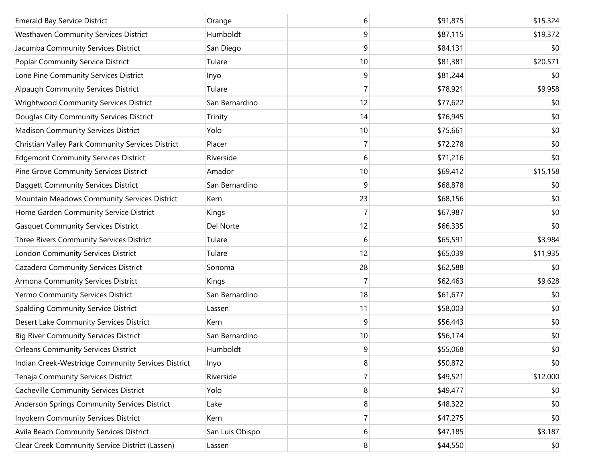| <b>Emerald Bay Service District</b>                | Orange          | 6              | \$91,875 | \$15,324 |
|----------------------------------------------------|-----------------|----------------|----------|----------|
| Westhaven Community Services District              | Humboldt        | 9              | \$87,115 | \$19,372 |
| Jacumba Community Services District                | San Diego       | 9              | \$84,131 | \$0      |
| Poplar Community Service District                  | Tulare          | 10             | \$81,381 | \$20,571 |
| Lone Pine Community Services District              | Inyo            | 9              | \$81,244 | \$0      |
| Alpaugh Community Services District                | Tulare          | $\overline{7}$ | \$78,921 | \$9,958  |
| Wrightwood Community Services District             | San Bernardino  | 12             | \$77,622 | \$0      |
| Douglas City Community Services District           | Trinity         | 14             | \$76,945 | \$0      |
| <b>Madison Community Services District</b>         | Yolo            | 10             | \$75,661 | \$0      |
| Christian Valley Park Community Services District  | Placer          | $\overline{7}$ | \$72,278 | \$0      |
| <b>Edgemont Community Services District</b>        | Riverside       | 6              | \$71,216 | \$0      |
| Pine Grove Community Services District             | Amador          | 10             | \$69,412 | \$15,158 |
| Daggett Community Services District                | San Bernardino  | 9              | \$68,878 | \$0      |
| Mountain Meadows Community Services District       | Kern            | 23             | \$68,156 | \$0      |
| Home Garden Community Service District             | Kings           | $\overline{7}$ | \$67,987 | \$0      |
| <b>Gasquet Community Services District</b>         | Del Norte       | 12             | \$66,335 | \$0      |
| Three Rivers Community Services District           | Tulare          | 6              | \$65,591 | \$3,984  |
| London Community Services District                 | Tulare          | 12             | \$65,039 | \$11,935 |
| Cazadero Community Services District               | Sonoma          | 28             | \$62,588 | \$0      |
| Armona Community Services District                 | Kings           | 7              | \$62,463 | \$9,628  |
| Yermo Community Services District                  | San Bernardino  | 18             | \$61,677 | \$0      |
| Spalding Community Service District                | Lassen          | 11             | \$58,003 | \$0      |
| Desert Lake Community Services District            | Kern            | 9              | \$56,443 | \$0      |
| <b>Big River Community Services District</b>       | San Bernardino  | 10             | \$56,174 | \$0      |
| <b>Orleans Community Services District</b>         | Humboldt        | 9              | \$55,068 | \$0      |
| Indian Creek-Westridge Community Services District | Inyo            | 8              | \$50,872 | \$0      |
| Tenaja Community Services District                 | Riverside       | $\overline{7}$ | \$49,521 | \$12,000 |
| Cacheville Community Services District             | Yolo            | 8              | \$49,477 | \$0      |
| Anderson Springs Community Services District       | Lake            | 8              | \$48,322 | \$0      |
| Inyokern Community Services District               | Kern            | $\overline{7}$ | \$47,275 | \$0      |
| Avila Beach Community Services District            | San Luis Obispo | 6              | \$47,185 | \$3,187  |
| Clear Creek Community Service District (Lassen)    | Lassen          | 8              | \$44,550 | \$0      |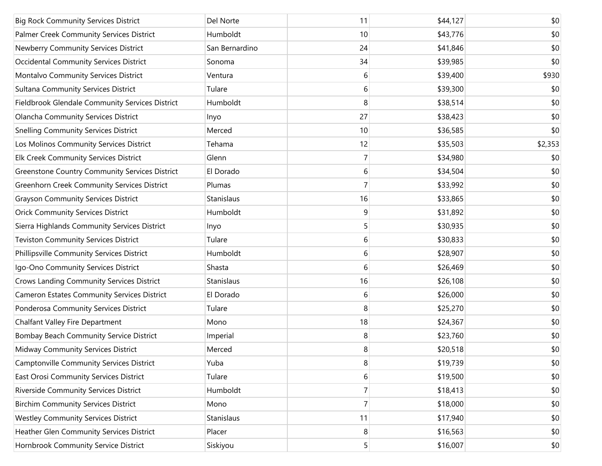| <b>Big Rock Community Services District</b>           | Del Norte      | 11 | \$44,127 | \$0     |
|-------------------------------------------------------|----------------|----|----------|---------|
| Palmer Creek Community Services District              | Humboldt       | 10 | \$43,776 | \$0     |
| Newberry Community Services District                  | San Bernardino | 24 | \$41,846 | \$0     |
| <b>Occidental Community Services District</b>         | Sonoma         | 34 | \$39,985 | \$0     |
| Montalvo Community Services District                  | Ventura        | 6  | \$39,400 | \$930   |
| <b>Sultana Community Services District</b>            | Tulare         | 6  | \$39,300 | \$0     |
| Fieldbrook Glendale Community Services District       | Humboldt       | 8  | \$38,514 | \$0     |
| <b>Olancha Community Services District</b>            | Inyo           | 27 | \$38,423 | \$0     |
| <b>Snelling Community Services District</b>           | Merced         | 10 | \$36,585 | \$0     |
| Los Molinos Community Services District               | Tehama         | 12 | \$35,503 | \$2,353 |
| Elk Creek Community Services District                 | Glenn          | 7  | \$34,980 | \$0     |
| <b>Greenstone Country Community Services District</b> | El Dorado      | 6  | \$34,504 | \$0     |
| <b>Greenhorn Creek Community Services District</b>    | Plumas         | 7  | \$33,992 | \$0     |
| <b>Grayson Community Services District</b>            | Stanislaus     | 16 | \$33,865 | \$0     |
| <b>Orick Community Services District</b>              | Humboldt       | 9  | \$31,892 | \$0     |
| Sierra Highlands Community Services District          | Inyo           | 5  | \$30,935 | \$0     |
| <b>Teviston Community Services District</b>           | Tulare         | 6  | \$30,833 | \$0     |
| Phillipsville Community Services District             | Humboldt       | 6  | \$28,907 | \$0     |
| Igo-Ono Community Services District                   | Shasta         | 6  | \$26,469 | \$0     |
| Crows Landing Community Services District             | Stanislaus     | 16 | \$26,108 | \$0     |
| <b>Cameron Estates Community Services District</b>    | El Dorado      | 6  | \$26,000 | \$0     |
| Ponderosa Community Services District                 | Tulare         | 8  | \$25,270 | \$0     |
| Chalfant Valley Fire Department                       | Mono           | 18 | \$24,367 | \$0     |
| Bombay Beach Community Service District               | Imperial       | 8  | \$23,760 | \$0     |
| Midway Community Services District                    | Merced         | 8  | \$20,518 | \$0     |
| Camptonville Community Services District              | Yuba           | 8  | \$19,739 | \$0     |
| East Orosi Community Services District                | Tulare         | 6  | \$19,500 | \$0     |
| Riverside Community Services District                 | Humboldt       | 7  | \$18,413 | \$0     |
| <b>Birchim Community Services District</b>            | Mono           | 7  | \$18,000 | \$0     |
| <b>Westley Community Services District</b>            | Stanislaus     | 11 | \$17,940 | \$0     |
| Heather Glen Community Services District              | Placer         | 8  | \$16,563 | \$0     |
| Hornbrook Community Service District                  | Siskiyou       | 5  | \$16,007 | \$0     |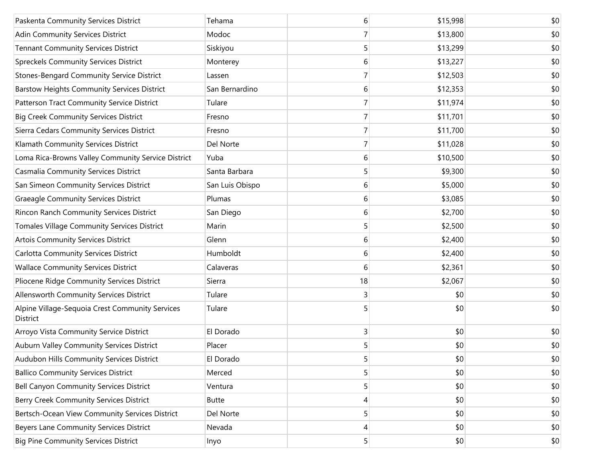| Paskenta Community Services District                        | Tehama          | 6              | \$15,998 | \$0 |
|-------------------------------------------------------------|-----------------|----------------|----------|-----|
| Adin Community Services District                            | Modoc           | 7              | \$13,800 | \$0 |
| <b>Tennant Community Services District</b>                  | Siskiyou        | 5              | \$13,299 | \$0 |
| <b>Spreckels Community Services District</b>                | Monterey        | 6              | \$13,227 | \$0 |
| <b>Stones-Bengard Community Service District</b>            | Lassen          | 7              | \$12,503 | \$0 |
| <b>Barstow Heights Community Services District</b>          | San Bernardino  | 6              | \$12,353 | \$0 |
| Patterson Tract Community Service District                  | Tulare          | 7              | \$11,974 | \$0 |
| <b>Big Creek Community Services District</b>                | Fresno          | 7              | \$11,701 | \$0 |
| Sierra Cedars Community Services District                   | Fresno          | $\overline{7}$ | \$11,700 | \$0 |
| Klamath Community Services District                         | Del Norte       | 7              | \$11,028 | \$0 |
| Loma Rica-Browns Valley Community Service District          | Yuba            | 6              | \$10,500 | \$0 |
| Casmalia Community Services District                        | Santa Barbara   | 5              | \$9,300  | \$0 |
| San Simeon Community Services District                      | San Luis Obispo | 6              | \$5,000  | \$0 |
| <b>Graeagle Community Services District</b>                 | Plumas          | 6              | \$3,085  | \$0 |
| Rincon Ranch Community Services District                    | San Diego       | 6              | \$2,700  | \$0 |
| Tomales Village Community Services District                 | Marin           | 5              | \$2,500  | \$0 |
| <b>Artois Community Services District</b>                   | Glenn           | 6              | \$2,400  | \$0 |
| <b>Carlotta Community Services District</b>                 | Humboldt        | 6              | \$2,400  | \$0 |
| <b>Wallace Community Services District</b>                  | Calaveras       | 6              | \$2,361  | \$0 |
| Pliocene Ridge Community Services District                  | Sierra          | 18             | \$2,067  | \$0 |
| Allensworth Community Services District                     | Tulare          | 3              | \$0      | \$0 |
| Alpine Village-Sequoia Crest Community Services<br>District | Tulare          | 5              | \$0      | \$0 |
| Arroyo Vista Community Service District                     | El Dorado       | 3              | \$0      | \$0 |
| Auburn Valley Community Services District                   | Placer          | 5              | \$0      | \$0 |
| Audubon Hills Community Services District                   | El Dorado       | 5              | \$0      | \$0 |
| <b>Ballico Community Services District</b>                  | Merced          | 5              | \$0      | \$0 |
| Bell Canyon Community Services District                     | Ventura         | 5              | \$0      | \$0 |
| Berry Creek Community Services District                     | <b>Butte</b>    | 4              | \$0      | \$0 |
| Bertsch-Ocean View Community Services District              | Del Norte       | 5              | \$0      | \$0 |
| Beyers Lane Community Services District                     | Nevada          | 4              | \$0      | \$0 |
| <b>Big Pine Community Services District</b>                 | Inyo            | 5              | \$0      | \$0 |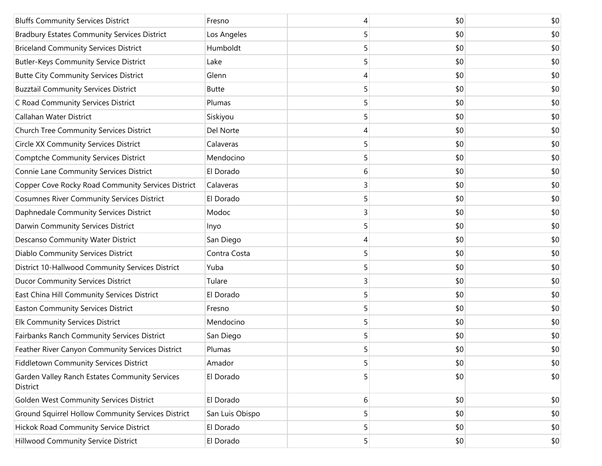| <b>Bluffs Community Services District</b>                  | Fresno          | 4 | \$0 | \$0 |
|------------------------------------------------------------|-----------------|---|-----|-----|
| <b>Bradbury Estates Community Services District</b>        | Los Angeles     | 5 | \$0 | \$0 |
| <b>Briceland Community Services District</b>               | Humboldt        |   | \$0 | \$0 |
| <b>Butler-Keys Community Service District</b>              | Lake            | 5 | \$0 | \$0 |
| <b>Butte City Community Services District</b>              | Glenn           | 4 | \$0 | \$0 |
| <b>Buzztail Community Services District</b>                | <b>Butte</b>    | 5 | \$0 | \$0 |
| C Road Community Services District                         | Plumas          |   | \$0 | \$0 |
| Callahan Water District                                    | Siskiyou        | 5 | \$0 | \$0 |
| Church Tree Community Services District                    | Del Norte       | 4 | \$0 | \$0 |
| <b>Circle XX Community Services District</b>               | Calaveras       | 5 | \$0 | \$0 |
| <b>Comptche Community Services District</b>                | Mendocino       |   | \$0 | \$0 |
| Connie Lane Community Services District                    | El Dorado       | 6 | \$0 | \$0 |
| Copper Cove Rocky Road Community Services District         | Calaveras       | 3 | \$0 | \$0 |
| <b>Cosumnes River Community Services District</b>          | El Dorado       | 5 | \$0 | \$0 |
| Daphnedale Community Services District                     | Modoc           | 3 | \$0 | \$0 |
| Darwin Community Services District                         | Inyo            | 5 | \$0 | \$0 |
| Descanso Community Water District                          | San Diego       | 4 | \$0 | \$0 |
| Diablo Community Services District                         | Contra Costa    | 5 | \$0 | \$0 |
| District 10-Hallwood Community Services District           | Yuba            |   | \$0 | \$0 |
| <b>Ducor Community Services District</b>                   | Tulare          | 3 | \$0 | \$0 |
| East China Hill Community Services District                | El Dorado       | 5 | \$0 | \$0 |
| <b>Easton Community Services District</b>                  | Fresno          | 5 | \$0 | \$0 |
| Elk Community Services District                            | Mendocino       | 5 | \$0 | \$0 |
| Fairbanks Ranch Community Services District                | San Diego       | 5 | \$0 | \$0 |
| Feather River Canyon Community Services District           | Plumas          | 5 | \$0 | \$0 |
| Fiddletown Community Services District                     | Amador          | 5 | \$0 | \$0 |
| Garden Valley Ranch Estates Community Services<br>District | El Dorado       | 5 | \$0 | \$0 |
| Golden West Community Services District                    | El Dorado       | 6 | \$0 | \$0 |
| Ground Squirrel Hollow Community Services District         | San Luis Obispo | 5 | \$0 | \$0 |
| Hickok Road Community Service District                     | El Dorado       | 5 | \$0 | \$0 |
| Hillwood Community Service District                        | El Dorado       | 5 | \$0 | \$0 |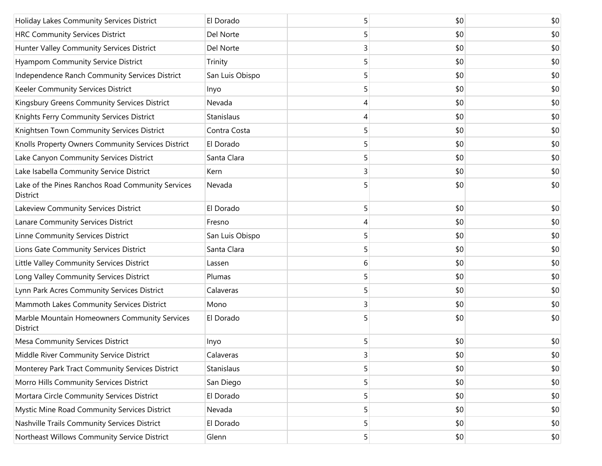| Holiday Lakes Community Services District                     | El Dorado       | 5 | \$0 | \$0 |
|---------------------------------------------------------------|-----------------|---|-----|-----|
| <b>HRC Community Services District</b>                        | Del Norte       | 5 | \$0 | \$0 |
| Hunter Valley Community Services District                     | Del Norte       | 3 | \$0 | \$0 |
| Hyampom Community Service District                            | Trinity         | 5 | \$0 | \$0 |
| Independence Ranch Community Services District                | San Luis Obispo | 5 | \$0 | \$0 |
| Keeler Community Services District                            | Inyo            | 5 | \$0 | \$0 |
| Kingsbury Greens Community Services District                  | Nevada          | 4 | \$0 | \$0 |
| Knights Ferry Community Services District                     | Stanislaus      | 4 | \$0 | \$0 |
| Knightsen Town Community Services District                    | Contra Costa    | 5 | \$0 | \$0 |
| Knolls Property Owners Community Services District            | El Dorado       | 5 | \$0 | \$0 |
| Lake Canyon Community Services District                       | Santa Clara     | 5 | \$0 | \$0 |
| Lake Isabella Community Service District                      | Kern            | 3 | \$0 | \$0 |
| Lake of the Pines Ranchos Road Community Services<br>District | Nevada          |   | \$0 | \$0 |
| Lakeview Community Services District                          | El Dorado       | 5 | \$0 | \$0 |
| Lanare Community Services District                            | Fresno          | 4 | \$0 | \$0 |
| Linne Community Services District                             | San Luis Obispo | 5 | \$0 | \$0 |
| Lions Gate Community Services District                        | Santa Clara     | 5 | \$0 | \$0 |
| Little Valley Community Services District                     | Lassen          | 6 | \$0 | \$0 |
| Long Valley Community Services District                       | Plumas          | 5 | \$0 | \$0 |
| Lynn Park Acres Community Services District                   | Calaveras       | 5 | \$0 | \$0 |
| Mammoth Lakes Community Services District                     | Mono            | 3 | \$0 | \$0 |
| Marble Mountain Homeowners Community Services<br>District     | El Dorado       | 5 | \$0 | \$0 |
| <b>Mesa Community Services District</b>                       | Inyo            | 5 | \$0 | \$0 |
| Middle River Community Service District                       | Calaveras       | 3 | \$0 | \$0 |
| Monterey Park Tract Community Services District               | Stanislaus      | 5 | \$0 | \$0 |
| Morro Hills Community Services District                       | San Diego       | 5 | \$0 | \$0 |
| Mortara Circle Community Services District                    | El Dorado       | 5 | \$0 | \$0 |
| Mystic Mine Road Community Services District                  | Nevada          | 5 | \$0 | \$0 |
| Nashville Trails Community Services District                  | El Dorado       | 5 | \$0 | \$0 |
| Northeast Willows Community Service District                  | Glenn           | 5 | \$0 | \$0 |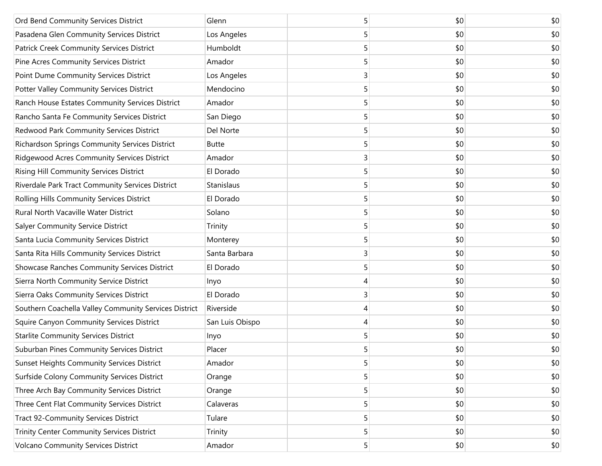| Ord Bend Community Services District                  | Glenn           | 5 | \$0 | \$0 |
|-------------------------------------------------------|-----------------|---|-----|-----|
| Pasadena Glen Community Services District             | Los Angeles     | 5 | \$0 | \$0 |
| Patrick Creek Community Services District             | Humboldt        | 5 | \$0 | \$0 |
| Pine Acres Community Services District                | Amador          | 5 | \$0 | \$0 |
| Point Dume Community Services District                | Los Angeles     | 3 | \$0 | \$0 |
| Potter Valley Community Services District             | Mendocino       | 5 | \$0 | \$0 |
| Ranch House Estates Community Services District       | Amador          | 5 | \$0 | \$0 |
| Rancho Santa Fe Community Services District           | San Diego       | 5 | \$0 | \$0 |
| Redwood Park Community Services District              | Del Norte       | 5 | \$0 | \$0 |
| Richardson Springs Community Services District        | <b>Butte</b>    | 5 | \$0 | \$0 |
| Ridgewood Acres Community Services District           | Amador          | 3 | \$0 | \$0 |
| Rising Hill Community Services District               | El Dorado       | 5 | \$0 | \$0 |
| Riverdale Park Tract Community Services District      | Stanislaus      | 5 | \$0 | \$0 |
| Rolling Hills Community Services District             | El Dorado       | 5 | \$0 | \$0 |
| Rural North Vacaville Water District                  | Solano          | 5 | \$0 | \$0 |
| <b>Salyer Community Service District</b>              | Trinity         | 5 | \$0 | \$0 |
| Santa Lucia Community Services District               | Monterey        | 5 | \$0 | \$0 |
| Santa Rita Hills Community Services District          | Santa Barbara   | 3 | \$0 | \$0 |
| Showcase Ranches Community Services District          | El Dorado       | 5 | \$0 | \$0 |
| Sierra North Community Service District               | Inyo            | 4 | \$0 | \$0 |
| Sierra Oaks Community Services District               | El Dorado       | 3 | \$0 | \$0 |
| Southern Coachella Valley Community Services District | Riverside       | 4 | \$0 | \$0 |
| Squire Canyon Community Services District             | San Luis Obispo | 4 | \$0 | \$0 |
| <b>Starlite Community Services District</b>           | Inyo            | 5 | \$0 | \$0 |
| Suburban Pines Community Services District            | Placer          | 5 | \$0 | \$0 |
| <b>Sunset Heights Community Services District</b>     | Amador          | 5 | \$0 | \$0 |
| Surfside Colony Community Services District           | Orange          | 5 | \$0 | \$0 |
| Three Arch Bay Community Services District            | Orange          | 5 | \$0 | \$0 |
| Three Cent Flat Community Services District           | Calaveras       | 5 | \$0 | \$0 |
| <b>Tract 92-Community Services District</b>           | Tulare          | 5 | \$0 | \$0 |
| Trinity Center Community Services District            | Trinity         | 5 | \$0 | \$0 |
| <b>Volcano Community Services District</b>            | Amador          | 5 | \$0 | \$0 |